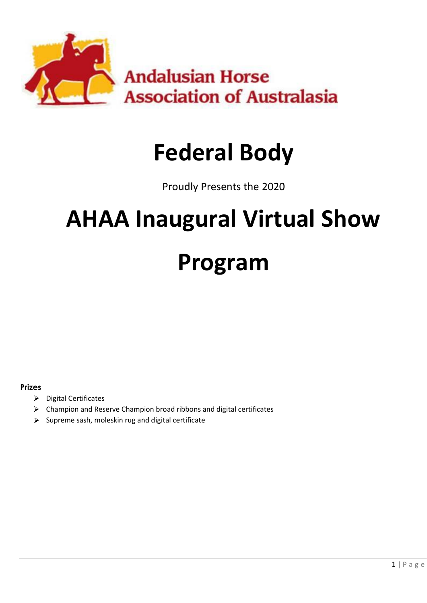

# **Federal Body**

Proudly Presents the 2020

# **AHAA Inaugural Virtual Show Program**

## **Prizes**

- $\triangleright$  Digital Certificates
- $\triangleright$  Champion and Reserve Champion broad ribbons and digital certificates
- $\triangleright$  Supreme sash, moleskin rug and digital certificate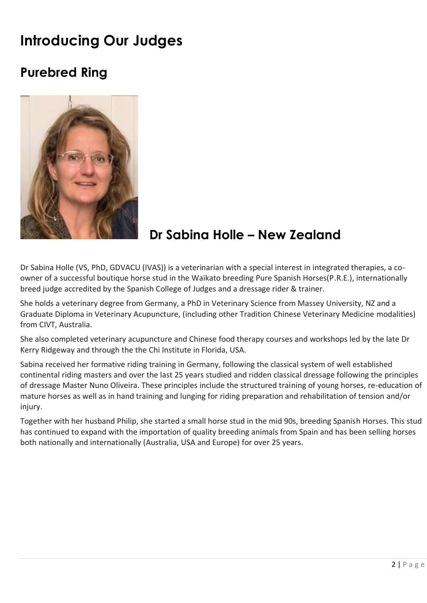## **Introducing Our Judges**

## **Purebred Ring**



## **Dr Sabina Holle – New Zealand**

Dr Sabina Holle (VS, PhD, GDVACU (IVAS)) is a veterinarian with a special interest in integrated therapies, a coowner of a successful boutique horse stud in the Waikato breeding Pure Spanish Horses(P.R.E.), internationally breed judge accredited by the Spanish College of Judges and a dressage rider & trainer.

She holds a veterinary degree from Germany, a PhD in Veterinary Science from Massey University, NZ and a Graduate Diploma in Veterinary Acupuncture, (including other Tradition Chinese Veterinary Medicine modalities) from CIVT, Australia.

She also completed veterinary acupuncture and Chinese food therapy courses and workshops led by the late Dr Kerry Ridgeway and through the the Chi Institute in Florida, USA.

Sabina received her formative riding training in Germany, following the classical system of well established continental riding masters and over the last 25 years studied and ridden classical dressage following the principles of dressage Master Nuno Oliveira. These principles include the structured training of young horses, re-education of mature horses as well as in hand training and lunging for riding preparation and rehabilitation of tension and/or injury.

Together with her husband Philip, she started a small horse stud in the mid 90s, breeding Spanish Horses. This stud has continued to expand with the importation of quality breeding animals from Spain and has been selling horses both nationally and internationally (Australia, USA and Europe) for over 25 years.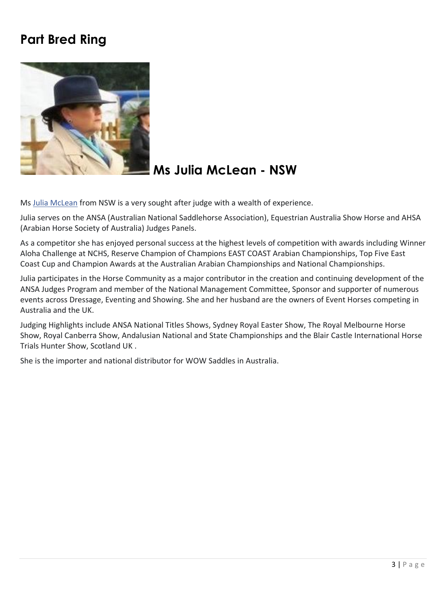## **Part Bred Ring**



## **Ms Julia McLean - NSW**

Ms [Julia McLean](https://www.facebook.com/jewellia?fref=gs&__tn__=%2CdK%2AF-R&eid=ARA_GrevFwNhoIG7OXNKXWt4LutP4sKKbQhobySuChEXMWKBx_Xt7-gjUNW1ogUQQdJ-Ne-3H-Qod7zC&dti=661859577708104&hc_location=group_dialog) from NSW is a very sought after judge with a wealth of experience.

Julia serves on the ANSA (Australian National Saddlehorse Association), Equestrian Australia Show Horse and AHSA (Arabian Horse Society of Australia) Judges Panels.

As a competitor she has enjoyed personal success at the highest levels of competition with awards including Winner Aloha Challenge at NCHS, Reserve Champion of Champions EAST COAST Arabian Championships, Top Five East Coast Cup and Champion Awards at the Australian Arabian Championships and National Championships.

Julia participates in the Horse Community as a major contributor in the creation and continuing development of the ANSA Judges Program and member of the National Management Committee, Sponsor and supporter of numerous events across Dressage, Eventing and Showing. She and her husband are the owners of Event Horses competing in Australia and the UK.

Judging Highlights include ANSA National Titles Shows, Sydney Royal Easter Show, The Royal Melbourne Horse Show, Royal Canberra Show, Andalusian National and State Championships and the Blair Castle International Horse Trials Hunter Show, Scotland UK .

She is the importer and national distributor for WOW Saddles in Australia.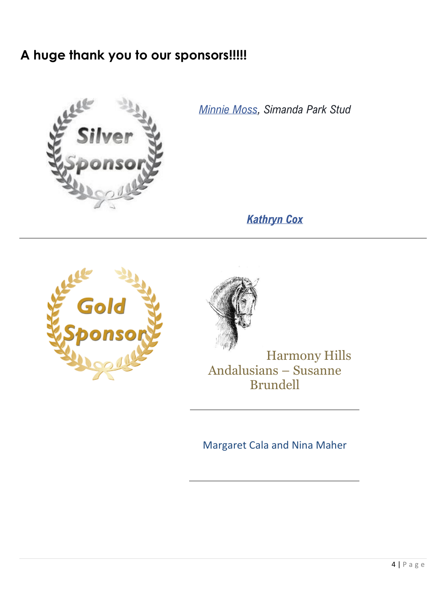## **A huge thank you to our sponsors!!!!!**



*[Minnie Moss,](https://www.facebook.com/minnie.moss?fref=gs&__tn__=%2CdK-R-R&eid=ARAj007i8EgR7TuYM6_oAEaIn3ejKlDAzh4vxeaeeaB3NXHV9a1XWoNiBnVyi4VddFhsat-5r1aO0r_D&dti=661859577708104&hc_location=group) Simanda Park Stud*

*[Kathryn Cox](https://www.facebook.com/kathryn.cox.5494?fref=gs&__tn__=%2CdK-R-R&eid=ARCVIKQVVX5cIo12UI2uLaXG8UUcDPxpgehO1KUyDfn9m89dpI1vKuXnzQbCjeEfYsTNwDsANZFPFjEe&dti=661859577708104&hc_location=group)*





Harmony Hills Andalusians – Susanne Brundell

Margaret Cala and Nina Maher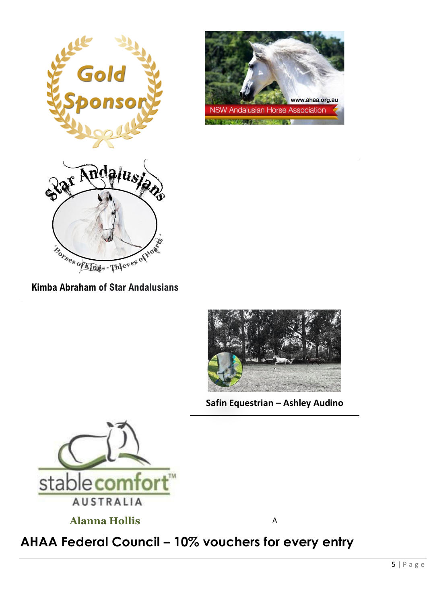





**[Kimba Abraham](https://www.facebook.com/profile.php?id=100001394347936&__tn__=%2CdK%2AF-R&eid=ARDSSEjaGthOv9yH9pXWpevN1r_ugGvqmqjUhkwmZHxRskhp8zW6N1eBJcxbX30Uq5gHr88mybnc8sgS) of Star Andalusians**



**Safin Equestrian – Ashley Audino**



**Alanna Hollis** A

## **AHAA Federal Council – 10% vouchers for every entry**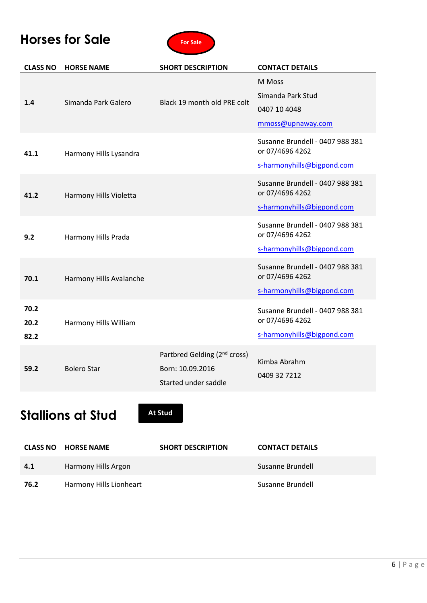## **Horses for Sale**



| <b>CLASS NO</b>      | <b>HORSE NAME</b>       | <b>SHORT DESCRIPTION</b>                                                             | <b>CONTACT DETAILS</b>                                                           |
|----------------------|-------------------------|--------------------------------------------------------------------------------------|----------------------------------------------------------------------------------|
| 1.4                  | Simanda Park Galero     | Black 19 month old PRE colt                                                          | M Moss<br>Simanda Park Stud<br>0407 10 4048<br>mmoss@upnaway.com                 |
| 41.1                 | Harmony Hills Lysandra  |                                                                                      | Susanne Brundell - 0407 988 381<br>or 07/4696 4262<br>s-harmonyhills@bigpond.com |
| 41.2                 | Harmony Hills Violetta  |                                                                                      | Susanne Brundell - 0407 988 381<br>or 07/4696 4262<br>s-harmonyhills@bigpond.com |
| 9.2                  | Harmony Hills Prada     |                                                                                      | Susanne Brundell - 0407 988 381<br>or 07/4696 4262<br>s-harmonyhills@bigpond.com |
| 70.1                 | Harmony Hills Avalanche |                                                                                      | Susanne Brundell - 0407 988 381<br>or 07/4696 4262<br>s-harmonyhills@bigpond.com |
| 70.2<br>20.2<br>82.2 | Harmony Hills William   |                                                                                      | Susanne Brundell - 0407 988 381<br>or 07/4696 4262<br>s-harmonyhills@bigpond.com |
| 59.2                 | <b>Bolero Star</b>      | Partbred Gelding (2 <sup>nd</sup> cross)<br>Born: 10.09.2016<br>Started under saddle | Kimba Abrahm<br>0409 32 7212                                                     |

## **Stallions at Stud**

**At Stud**

|      | <b>CLASS NO HORSE NAME</b> | <b>SHORT DESCRIPTION</b> | <b>CONTACT DETAILS</b> |
|------|----------------------------|--------------------------|------------------------|
| 4.1  | Harmony Hills Argon        |                          | Susanne Brundell       |
| 76.2 | Harmony Hills Lionheart    |                          | Susanne Brundell       |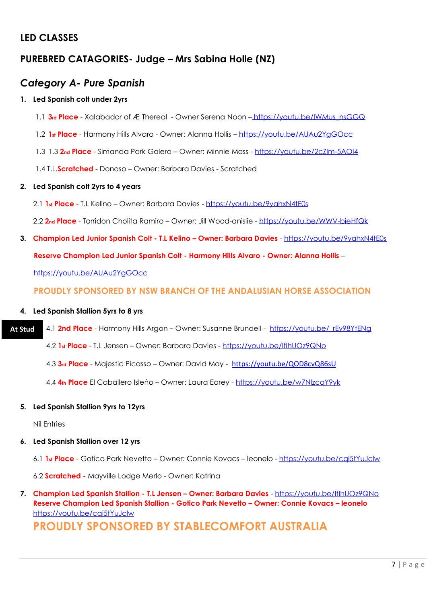## **LED CLASSES**

## **PUREBRED CATAGORIES- Judge – Mrs Sabina Holle (NZ)**

## *Category A- Pure Spanish*

## **1. Led Spanish colt under 2yrs**

- 1.1 **3rd Place** Xalabador of Æ Thereal Owner Serena Noon [https://youtu.be/IWMus\\_nsGGQ](https://youtu.be/IWMus_nsGGQ)
- 1.2 **1st Place** Harmony Hills Alvaro Owner: Alanna Hollis <https://youtu.be/AUAu2YgGOcc>
- 1.3 1.3 **2nd Place** Simanda Park Galero Owner: Minnie Moss <https://youtu.be/2cZIm-5AOI4>
- 1.4 T.L.**Scratched** Donoso Owner: Barbara Davies Scratched

## **2. Led Spanish colt 2yrs to 4 years**

- 2.1 **1st Place** T.L Kelino Owner: Barbara Davies <https://youtu.be/9yahxN4tE0s>
- 2.2 **2nd Place** Torridon Cholita Ramiro Owner: Jill Wood-anislie <https://youtu.be/WWV-bieHfQk>
- **3. Champion Led Junior Spanish Colt - T.L Kelino – Owner: Barbara Davies** <https://youtu.be/9yahxN4tE0s> **Reserve Champion Led Junior Spanish Colt - Harmony Hills Alvaro - Owner: Alanna Hollis** – <https://youtu.be/AUAu2YgGOcc>

**PROUDLY SPONSORED BY NSW BRANCH OF THE ANDALUSIAN HORSE ASSOCIATION**

## **4. Led Spanish Stallion 5yrs to 8 yrs**

4.1 **2nd Place** - Harmony Hills Argon – Owner: Susanne Brundell - [https://youtu.be/\\_rEy98YtENg](https://youtu.be/_rEy98YtENg) **At Stud**

4.2 **1st Place** - T.L Jensen – Owner: Barbara Davies - <https://youtu.be/IfIhUOz9QNo>

- 4.3 **3rd Place** Majestic Picasso Owner: David May <https://youtu.be/QOD8cvQ86sU>
- 4.4 **4th Place** El Caballero Isleńo Owner: Laura Earey <https://youtu.be/w7NlzcqY9yk>

## **5. Led Spanish Stallion 9yrs to 12yrs**

Nil Entries

## **6. Led Spanish Stallion over 12 yrs**

6.1 **1st Place** - Gotico Park Nevetto – Owner: Connie Kovacs – leonelo - <https://youtu.be/cqi5tYuJclw>

6.2 **Scratched -** Mayville Lodge Merlo - Owner: Katrina

**7. Champion Led Spanish Stallion - T.L Jensen – Owner: Barbara Davies** - <https://youtu.be/IfIhUOz9QNo> **Reserve Champion Led Spanish Stallion - Gotico Park Nevetto – Owner: Connie Kovacs – leonelo** https://youtu.be/cai5tYuJclw

## **PROUDLY SPONSORED BY STABLECOMFORT AUSTRALIA**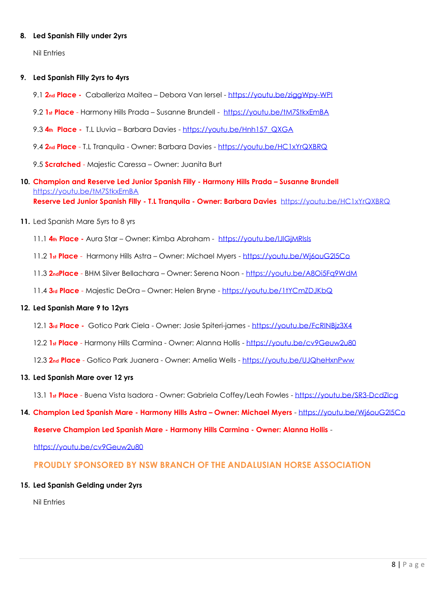#### **8. Led Spanish Filly under 2yrs**

Nil Entries

#### **9. Led Spanish Filly 2yrs to 4yrs**

- 9.1 **2nd Place -** Caballeriza Maitea Debora Van Iersel <https://youtu.be/ziggWpy-WPI>
- 9.2 **1st Place** Harmony Hills Prada Susanne Brundell <https://youtu.be/tM7StkxEmBA>
- 9.3 **4th Place -** T.L Lluvia Barbara Davies [https://youtu.be/Hnh157\\_QXGA](https://youtu.be/Hnh157_QXGA)
- 9.4 **2nd Place** T.L Tranquila Owner: Barbara Davies <https://youtu.be/HC1xYrQXBRQ>

9.5 **Scratched** - Majestic Caressa – Owner: Juanita Burt

- **10. Champion and Reserve Led Junior Spanish Filly - Harmony Hills Prada – Susanne Brundell** <https://youtu.be/tM7StkxEmBA> **Reserve Led Junior Spanish Filly - T.L Tranquila - Owner: Barbara Davies** <https://youtu.be/HC1xYrQXBRQ>
- **11.** Led Spanish Mare 5yrs to 8 yrs
	- 11.1 **4th Place -** Aura Star Owner: Kimba Abraham <https://youtu.be/lJlGjMRlsls>
	- 11.2 **1st Place** Harmony Hills Astra Owner: Michael Myers <https://youtu.be/Wj6ouG2l5Co>
	- 11.3 **2ndPlace** BHM Silver Bellachara Owner: Serena Noon <https://youtu.be/A8Oi5Fq9WdM>
	- 11.4 **3rd Place** Majestic DeOra Owner: Helen Bryne <https://youtu.be/1tYCmZDJKbQ>

#### **12. Led Spanish Mare 9 to 12yrs**

- 12.1 **3rd Place -** Gotico Park Ciela Owner: Josie Spiteri-james <https://youtu.be/FcRINBjz3X4>
- 12.2 **1st Place** Harmony Hills Carmina Owner: Alanna Hollis <https://youtu.be/cv9Geuw2u80>
- 12.3 **2nd Place** Gotico Park Juanera Owner: Amelia Wells <https://youtu.be/UJQheHxnPww>

#### **13. Led Spanish Mare over 12 yrs**

- 13.1 **1st Place** Buena Vista Isadora Owner: Gabriela Coffey/Leah Fowles <https://youtu.be/SR3-DcdZlcg>
- **14. Champion Led Spanish Mare - Harmony Hills Astra – Owner: Michael Myers** <https://youtu.be/Wj6ouG2l5Co>

**Reserve Champion Led Spanish Mare - Harmony Hills Carmina - Owner: Alanna Hollis** -

<https://youtu.be/cv9Geuw2u80>

## **PROUDLY SPONSORED BY NSW BRANCH OF THE ANDALUSIAN HORSE ASSOCIATION**

#### **15. Led Spanish Gelding under 2yrs**

Nil Entries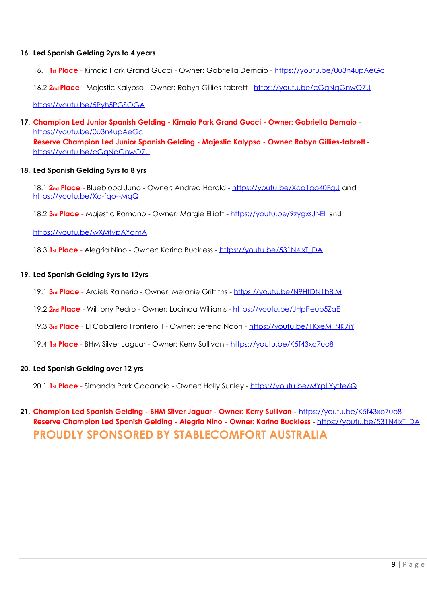#### **16. Led Spanish Gelding 2yrs to 4 years**

16.1 **1st Place** - Kimaio Park Grand Gucci - Owner: Gabriella Demaio - <https://youtu.be/0u3n4upAeGc>

16.2 **2nd Place** - Majestic Kalypso - Owner: Robyn Gillies-tabrett - <https://youtu.be/cGqNqGnwO7U>

<https://youtu.be/5Pyh5PGSOGA>

**17. Champion Led Junior Spanish Gelding - Kimaio Park Grand Gucci - Owner: Gabriella Demaio** <https://youtu.be/0u3n4upAeGc>

**Reserve Champion Led Junior Spanish Gelding - Majestic Kalypso - Owner: Robyn Gillies-tabrett** <https://youtu.be/cGqNqGnwO7U>

#### **18. Led Spanish Gelding 5yrs to 8 yrs**

18.1 **2nd Place** - Blueblood Juno - Owner: Andrea Harold - <https://youtu.be/Xco1po40FqU> and <https://youtu.be/Xd-fqo--MqQ>

18.2 **3rd Place** - Majestic Romano - Owner: Margie Elliott - <https://youtu.be/9zygxsJr-EI>and

<https://youtu.be/wXMfvpAYdmA>

18.3 **1st Place** - Alegria Nino - Owner: Karina Buckless - [https://youtu.be/531N4IxT\\_DA](https://youtu.be/531N4IxT_DA)

#### **19. Led Spanish Gelding 9yrs to 12yrs**

- 19.1 **3rd Place** Ardiels Rainerio Owner: Melanie Griffiths <https://youtu.be/N9HtDN1b8IM>
- 19.2 **2nd Place** Willtony Pedro Owner: Lucinda Williams <https://youtu.be/JHpPeub5ZaE>
- 19.3 **3rd Place** El Caballero Frontero II Owner: Serena Noon [https://youtu.be/1KxeM\\_NK7iY](https://youtu.be/1KxeM_NK7iY)
- 19.4 **1st Place** BHM Silver Jaguar Owner: Kerry Sullivan <https://youtu.be/K5f43xo7uo8>

## **20. Led Spanish Gelding over 12 yrs**

20.1 **1st Place** - Simanda Park Cadancio - Owner: Holly Sunley - <https://youtu.be/MYpLYytte6Q>

## **21. Champion Led Spanish Gelding - BHM Silver Jaguar - Owner: Kerry Sullivan -** <https://youtu.be/K5f43xo7uo8> **Reserve Champion Led Spanish Gelding - Alegria Nino - Owner: Karina Buckless** - [https://youtu.be/531N4IxT\\_DA](https://youtu.be/531N4IxT_DA) **PROUDLY SPONSORED BY STABLECOMFORT AUSTRALIA**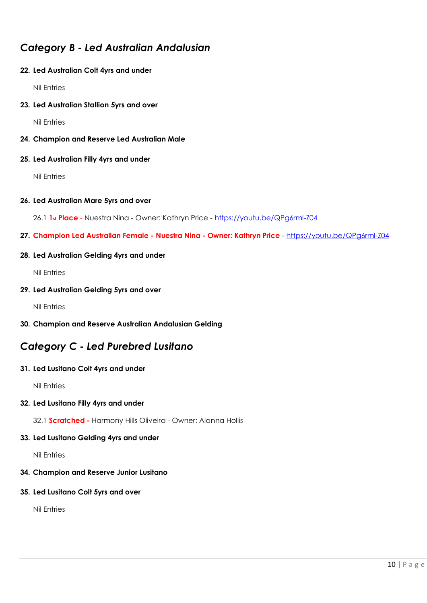## *Category B - Led Australian Andalusian*

## **22. Led Australian Colt 4yrs and under**

Nil Entries

**23. Led Australian Stallion 5yrs and over**

Nil Entries

**24. Champion and Reserve Led Australian Male**

#### **25. Led Australian Filly 4yrs and under**

Nil Entries

#### **26. Led Australian Mare 5yrs and over**

26.1 **1st Place** - Nuestra Nina - Owner: Kathryn Price - <https://youtu.be/QPg6rml-Z04>

**27. Champion Led Australian Female - Nuestra Nina - Owner: Kathryn Price** - <https://youtu.be/QPg6rml-Z04>

## **28. Led Australian Gelding 4yrs and under**

Nil Entries

#### **29. Led Australian Gelding 5yrs and over**

Nil Entries

**30. Champion and Reserve Australian Andalusian Gelding** 

## *Category C - Led Purebred Lusitano*

## **31. Led Lusitano Colt 4yrs and under**

Nil Entries

## **32. Led Lusitano Filly 4yrs and under**

32.1 **Scratched -** Harmony Hills Oliveira - Owner: Alanna Hollis

## **33. Led Lusitano Gelding 4yrs and under**

Nil Entries

## **34. Champion and Reserve Junior Lusitano**

## **35. Led Lusitano Colt 5yrs and over**

Nil Entries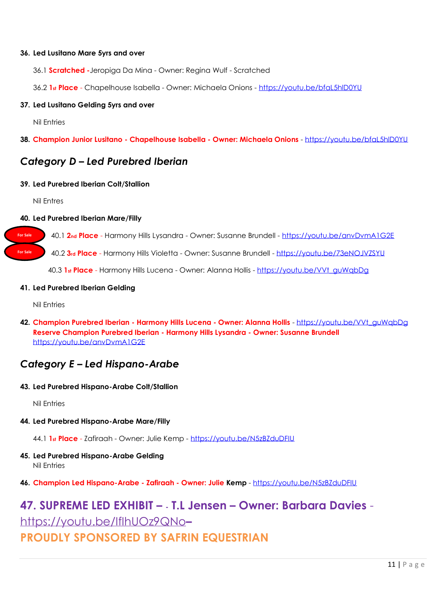#### **36. Led Lusitano Mare 5yrs and over**

36.1 **Scratched -**Jeropiga Da Mina - Owner: Regina Wulf - Scratched

36.2 **1st Place** - Chapelhouse Isabella - Owner: Michaela Onions - <https://youtu.be/bfaL5hlD0YU>

#### **37. Led Lusitano Gelding 5yrs and over**

Nil Entries

**38. Champion Junior Lusitano - Chapelhouse Isabella - Owner: Michaela Onions** - <https://youtu.be/bfaL5hlD0YU>

## *Category D – Led Purebred Iberian*

#### **39. Led Purebred Iberian Colt/Stallion**

Nil Entres

**For Sale**

**For Sale**

#### **40. Led Purebred Iberian Mare/Filly**

40.1 **2nd Place** - Harmony Hills Lysandra - Owner: Susanne Brundell - <https://youtu.be/anvDvmA1G2E>

40.2 **3rd Place** - Harmony Hills Violetta - Owner: Susanne Brundell - <https://youtu.be/73eNOJVZSYU>

40.3 **1st Place** - Harmony Hills Lucena - Owner: Alanna Hollis - [https://youtu.be/VVt\\_guWqbDg](https://youtu.be/VVt_guWqbDg)

#### **41. Led Purebred Iberian Gelding**

Nil Entries

**42. Champion Purebred Iberian - Harmony Hills Lucena - Owner: Alanna Hollis** - [https://youtu.be/VVt\\_guWqbDg](https://youtu.be/VVt_guWqbDg) **Reserve Champion Purebred Iberian - Harmony Hills Lysandra - Owner: Susanne Brundell** <https://youtu.be/anvDvmA1G2E>

## *Category E – Led Hispano-Arabe*

**43. Led Purebred Hispano-Arabe Colt/Stallion**

Nil Entries

- **44. Led Purebred Hispano-Arabe Mare/Filly**
	- 44.1 **1st Place** Zafiraah Owner: Julie Kemp <https://youtu.be/N5zBZduDFIU>
- **45. Led Purebred Hispano-Arabe Gelding** Nil Entries
- **46. Champion Led Hispano-Arabe - Zafiraah - Owner: Julie Kemp** <https://youtu.be/N5zBZduDFIU>

## **47. SUPREME LED EXHIBIT – - T.L Jensen – Owner: Barbara Davies** <https://youtu.be/IfIhUOz9QNo>**– PROUDLY SPONSORED BY SAFRIN EQUESTRIAN**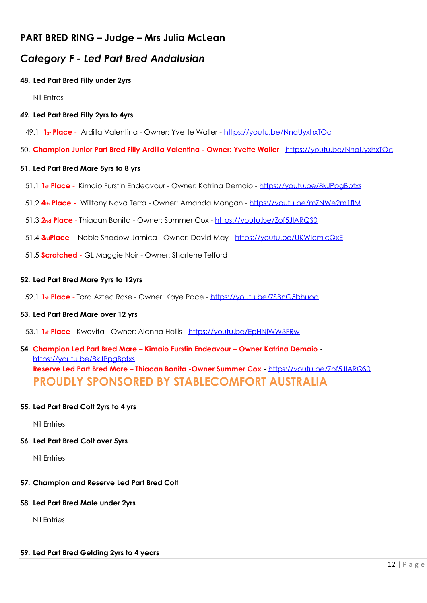## **PART BRED RING – Judge – Mrs Julia McLean**

## *Category F - Led Part Bred Andalusian*

## **48. Led Part Bred Filly under 2yrs**

Nil Entres

## *49.* **Led Part Bred Filly 2yrs to 4yrs**

- 49.1 **1st Place** Ardilla Valentina Owner: Yvette Waller <https://youtu.be/NnaUyxhxTOc>
- 50. **Champion Junior Part Bred Filly Ardilla Valentina - Owner: Yvette Waller** <https://youtu.be/NnaUyxhxTOc>

#### **51. Led Part Bred Mare 5yrs to 8 yrs**

- 51.1 **1st Place** Kimaio Furstin Endeavour Owner: Katrina Demaio <https://youtu.be/8kJPpgBpfxs>
- 51.2 **4th Place -** Willtony Nova Terra Owner: Amanda Mongan <https://youtu.be/mZNWe2m1flM>
- 51.3 **2nd Place** Thiacan Bonita Owner: Summer Cox <https://youtu.be/Zof5JIARQS0>
- 51.4 **3rdPlace** Noble Shadow Jarnica Owner: David May <https://youtu.be/UKWIemlcQxE>
- 51.5 **Scratched -** GL Maggie Noir Owner: Sharlene Telford

#### **52. Led Part Bred Mare 9yrs to 12yrs**

52.1 **1st Place** - Tara Aztec Rose - Owner: Kaye Pace - <https://youtu.be/ZSBnG5bhuoc>

## **53. Led Part Bred Mare over 12 yrs**

53.1 **1st Place** - Kwevita - Owner: Alanna Hollis - <https://youtu.be/EpHNlWW3FRw>

## **54. Champion Led Part Bred Mare – Kimaio Furstin Endeavour – Owner Katrina Demaio**  <https://youtu.be/8kJPpgBpfxs> **Reserve Led Part Bred Mare – Thiacan Bonita -Owner Summer Cox -** <https://youtu.be/Zof5JIARQS0> **PROUDLY SPONSORED BY STABLECOMFORT AUSTRALIA**

## **55. Led Part Bred Colt 2yrs to 4 yrs**

Nil Entries

#### **56. Led Part Bred Colt over 5yrs**

Nil Entries

## **57. Champion and Reserve Led Part Bred Colt**

#### **58. Led Part Bred Male under 2yrs**

Nil Entries

## **59. Led Part Bred Gelding 2yrs to 4 years**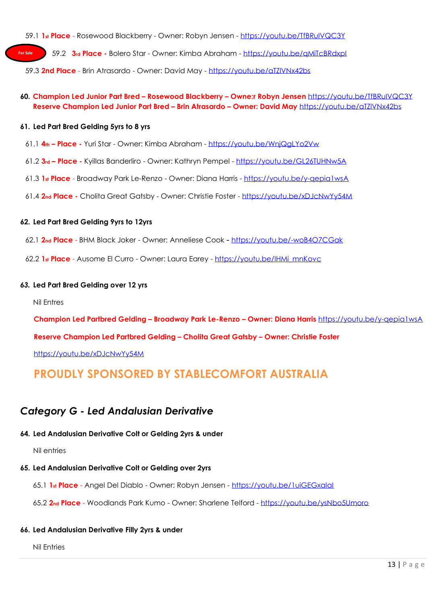59.1 **1st Place** - Rosewood Blackberry - Owner: Robyn Jensen - <https://youtu.be/TfBRuIVQC3Y>

59.2 **3rd Place -** Bolero Star - Owner: Kimba Abraham - <https://youtu.be/qMiTcBRdxpI> **For Sale**

59.3 **2nd Place** - Brin Atrasardo - Owner: David May - <https://youtu.be/aTZlVNx42bs>

## **60. Champion Led Junior Part Bred – Rosewood Blackberry – Owne:r Robyn Jensen** <https://youtu.be/TfBRuIVQC3Y> **Reserve Champion Led Junior Part Bred – Brin Atrasardo – Owner: David May** <https://youtu.be/aTZlVNx42bs>

#### **61. Led Part Bred Gelding 5yrs to 8 yrs**

- 61.1 **4th – Place -** Yuri Star Owner: Kimba Abraham <https://youtu.be/WnjQgLYo2Vw>
- 61.2 **3rd – Place -** Kyillas Banderliro Owner: Kathryn Pempel <https://youtu.be/GL26TUHNw5A>
- 61.3 **1st Place** Broadway Park Le-Renzo Owner: Diana Harris <https://youtu.be/y-qepia1wsA>
- 61.4 **2nd Place -** Cholita Great Gatsby Owner: Christie Foster <https://youtu.be/xDJcNwYy54M>

#### **62. Led Part Bred Gelding 9yrs to 12yrs**

- 62.1 **2nd Place** BHM Black Joker Owner: Anneliese Cook <https://youtu.be/-woB4O7CGak>
- 62.2 **1st Place** Ausome El Curro Owner: Laura Earey [https://youtu.be/IHMi\\_mnKovc](https://youtu.be/IHMi_mnKovc)

#### *63.* **Led Part Bred Gelding over 12 yrs**

Nil Entres

**Champion Led Partbred Gelding – Broadway Park Le-Renzo – Owner: Diana Harris** <https://youtu.be/y-qepia1wsA>

**Reserve Champion Led Partbred Gelding – Cholita Great Gatsby – Owner: Christie Foster**

<https://youtu.be/xDJcNwYy54M>

## **PROUDLY SPONSORED BY STABLECOMFORT AUSTRALIA**

## *Category G - Led Andalusian Derivative*

## **64. Led Andalusian Derivative Colt or Gelding 2yrs & under**

Nil entries

## **65. Led Andalusian Derivative Colt or Gelding over 2yrs**

65.1 **1st Place** - Angel Del Diablo - Owner: Robyn Jensen - <https://youtu.be/1uiGEGxalaI>

65.2 **2nd Place** - Woodlands Park Kumo - Owner: Sharlene Telford - <https://youtu.be/ysNbo5Umoro>

## **66. Led Andalusian Derivative Filly 2yrs & under**

Nil Entries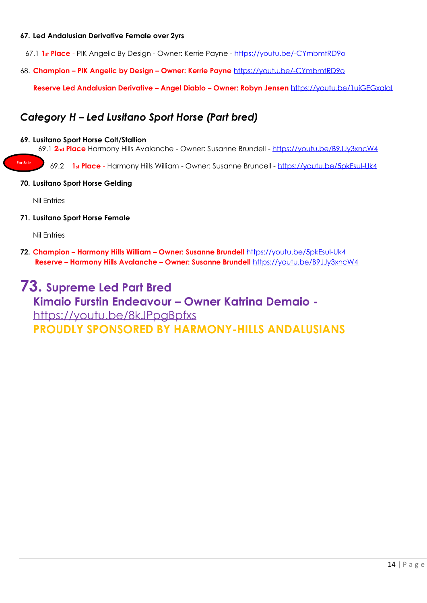#### **67. Led Andalusian Derivative Female over 2yrs**

67.1 **1st Place** - PIK Angelic By Design - Owner: Kerrie Payne - <https://youtu.be/-CYmbmtRD9o>

68. **Champion – PIK Angelic by Design – Owner: Kerrie Payne** <https://youtu.be/-CYmbmtRD9o>

**Reserve Led Andalusian Derivative – Angel Diablo – Owner: Robyn Jensen** <https://youtu.be/1uiGEGxalaI>

## *Category H – Led Lusitano Sport Horse (Part bred)*

#### **69. Lusitano Sport Horse Colt/Stallion**

69.1 **2nd Place** Harmony Hills Avalanche - Owner: Susanne Brundell - <https://youtu.be/B9JJy3xncW4>

69.2 **1st Place** - Harmony Hills William - Owner: Susanne Brundell - <https://youtu.be/5pkEsuI-Uk4>

#### **70. Lusitano Sport Horse Gelding**

Nil Entries

**For Sale**

**71. Lusitano Sport Horse Female**

Nil Entries

**72. Champion – Harmony Hills William – Owner: Susanne Brundell** <https://youtu.be/5pkEsuI-Uk4> **Reserve – Harmony Hills Avalanche – Owner: Susanne Brundell** <https://youtu.be/B9JJy3xncW4>

## **73. Supreme Led Part Bred Kimaio Furstin Endeavour – Owner Katrina Demaio**  <https://youtu.be/8kJPpgBpfxs> **PROUDLY SPONSORED BY HARMONY-HILLS ANDALUSIANS**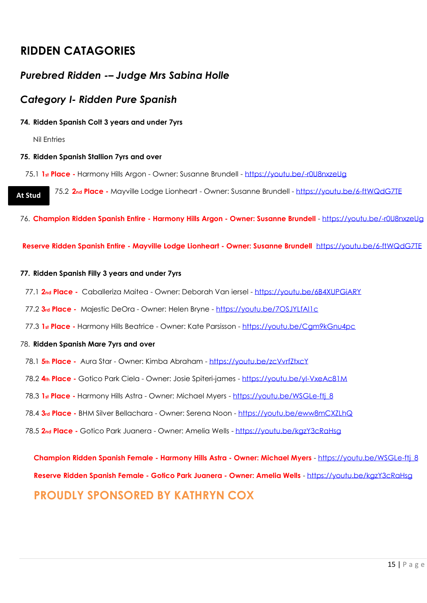## **RIDDEN CATAGORIES**

## *Purebred Ridden -– Judge Mrs Sabina Holle*

## *Category I- Ridden Pure Spanish*

## **74. Ridden Spanish Colt 3 years and under 7yrs**

Nil Entries

## **75. Ridden Spanish Stallion 7yrs and over**

75.1 **1st Place -** Harmony Hills Argon - Owner: Susanne Brundell - <https://youtu.be/-r0U8nxzeUg>

75.2 **2nd Place -** Mayville Lodge Lionheart - Owner: Susanne Brundell - <https://youtu.be/6-ftWQdG7TE> **At Stud**

76. **Champion Ridden Spanish Entire - Harmony Hills Argon - Owner: Susanne Brundell** - <https://youtu.be/-r0U8nxzeUg>

**Reserve Ridden Spanish Entire - Mayville Lodge Lionheart - Owner: Susanne Brundell** <https://youtu.be/6-ftWQdG7TE>

## **77. Ridden Spanish Filly 3 years and under 7yrs**

- 77.1 **2nd Place -** Caballeriza Maitea Owner: Deborah Van iersel <https://youtu.be/6B4XUPGiARY>
- 77.2 **3rd Place -** Majestic DeOra Owner: Helen Bryne <https://youtu.be/7OSJYLfAI1c>
- 77.3 **1st Place -** Harmony Hills Beatrice Owner: Kate Parsisson <https://youtu.be/Cgm9kGnu4pc>

## 78. **Ridden Spanish Mare 7yrs and over**

- 78.1 **5th Place -** Aura Star Owner: Kimba Abraham <https://youtu.be/zcVvrfZtxcY>
- 78.2 **4th Place -** Gotico Park Ciela Owner: Josie Spiteri-james <https://youtu.be/yI-VxeAc81M>
- 78.3 **1st Place -** Harmony Hills Astra Owner: Michael Myers [https://youtu.be/WSGLe-ftj\\_8](https://youtu.be/WSGLe-ftj_8)
- 78.4 **3rd Place -** BHM Silver Bellachara Owner: Serena Noon <https://youtu.be/eww8mCXZLhQ>
- 78.5 **2nd Place -** Gotico Park Juanera Owner: Amelia Wells <https://youtu.be/kgzY3cRaHsg>

**Champion Ridden Spanish Female - Harmony Hills Astra - Owner: Michael Myers** - [https://youtu.be/WSGLe-ftj\\_8](https://youtu.be/WSGLe-ftj_8) **Reserve Ridden Spanish Female - Gotico Park Juanera - Owner: Amelia Wells** - <https://youtu.be/kgzY3cRaHsg> **PROUDLY SPONSORED BY KATHRYN COX**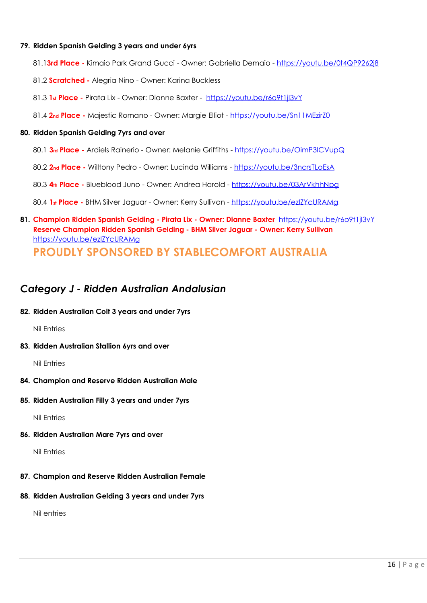#### **79. Ridden Spanish Gelding 3 years and under 6yrs**

- 81.1**3rd Place -** Kimaio Park Grand Gucci Owner: Gabriella Demaio <https://youtu.be/0t4QP9262j8>
- 81.2 **Scratched -** Alegria Nino Owner: Karina Buckless
- 81.3 **1st Place -** Pirata Lix Owner: Dianne Baxter <https://youtu.be/r6o9t1jI3vY>
- 81.4 **2nd Place -** Majestic Romano Owner: Margie Elliot <https://youtu.be/Sn11MEzirZ0>

#### **80. Ridden Spanish Gelding 7yrs and over**

- 80.1 **3rd Place -** Ardiels Rainerio Owner: Melanie Griffiths <https://youtu.be/OimP3ICVupQ>
- 80.2 **2nd Place -** Willtony Pedro Owner: Lucinda Williams <https://youtu.be/3ncrsTLoEsA>
- 80.3 **4th Place -** Blueblood Juno Owner: Andrea Harold <https://youtu.be/03ArVkhhNpg>

80.4 **1st Place -** BHM Silver Jaguar - Owner: Kerry Sullivan - <https://youtu.be/ezIZYcURAMg>

**81. Champion Ridden Spanish Gelding - Pirata Lix - Owner: Dianne Baxter** <https://youtu.be/r6o9t1jI3vY> **Reserve Champion Ridden Spanish Gelding - BHM Silver Jaguar - Owner: Kerry Sullivan** <https://youtu.be/ezIZYcURAMg> **PROUDLY SPONSORED BY STABLECOMFORT AUSTRALIA**

## *Category J - Ridden Australian Andalusian*

**82. Ridden Australian Colt 3 years and under 7yrs**

Nil Entries

**83. Ridden Australian Stallion 6yrs and over**

Nil Entries

- **84. Champion and Reserve Ridden Australian Male**
- **85. Ridden Australian Filly 3 years and under 7yrs**

Nil Entries

**86. Ridden Australian Mare 7yrs and over**

Nil Entries

- **87. Champion and Reserve Ridden Australian Female**
- **88. Ridden Australian Gelding 3 years and under 7yrs**

Nil entries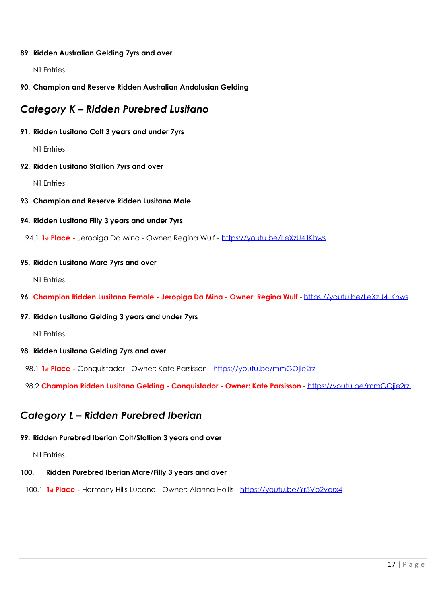#### **89. Ridden Australian Gelding 7yrs and over**

Nil Entries

## **90. Champion and Reserve Ridden Australian Andalusian Gelding**

## *Category K – Ridden Purebred Lusitano*

#### **91. Ridden Lusitano Colt 3 years and under 7yrs**

Nil Entries

#### **92. Ridden Lusitano Stallion 7yrs and over**

Nil Entries

#### **93. Champion and Reserve Ridden Lusitano Male**

#### **94. Ridden Lusitano Filly 3 years and under 7yrs**

94.1 **1st Place -** Jeropiga Da Mina - Owner: Regina Wulf - <https://youtu.be/LeXzU4JKhws>

#### **95. Ridden Lusitano Mare 7yrs and over**

Nil Entries

**96. Champion Ridden Lusitano Female - Jeropiga Da Mina - Owner: Regina Wulf** - <https://youtu.be/LeXzU4JKhws>

## **97. Ridden Lusitano Gelding 3 years and under 7yrs**

Nil Entries

## **98. Ridden Lusitano Gelding 7yrs and over**

98.1 **1st Place -** Conquistador - Owner: Kate Parsisson - <https://youtu.be/mmGOjie2rzI>

98.2 **Champion Ridden Lusitano Gelding - Conquistador - Owner: Kate Parsisson** - <https://youtu.be/mmGOjie2rzI>

## *Category L – Ridden Purebred Iberian*

## **99. Ridden Purebred Iberian Colt/Stallion 3 years and over**

Nil Entries

## **100. Ridden Purebred Iberian Mare/Filly 3 years and over**

100.1 **1st Place -** Harmony Hills Lucena - Owner: Alanna Hollis - <https://youtu.be/Yr5Vb2vqrx4>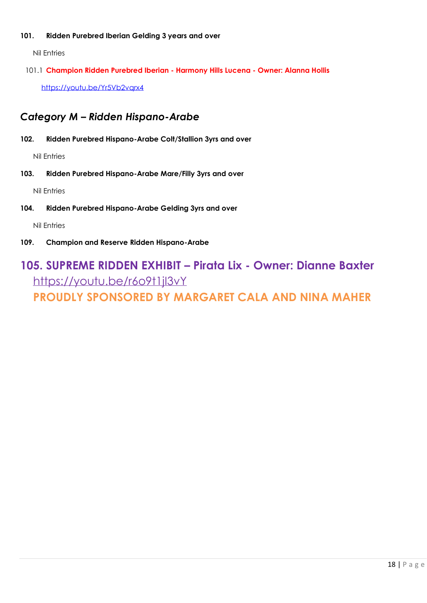## **101. Ridden Purebred Iberian Gelding 3 years and over**

Nil Entries

101.1 **Champion Ridden Purebred Iberian - Harmony Hills Lucena - Owner: Alanna Hollis**  <https://youtu.be/Yr5Vb2vqrx4>

## *Category M – Ridden Hispano-Arabe*

**102. Ridden Purebred Hispano-Arabe Colt/Stallion 3yrs and over**

Nil Entries

**103. Ridden Purebred Hispano-Arabe Mare/Filly 3yrs and over**

Nil Entries

**104. Ridden Purebred Hispano-Arabe Gelding 3yrs and over**

Nil Entries

**109. Champion and Reserve Ridden Hispano-Arabe**

## **105. SUPREME RIDDEN EXHIBIT – Pirata Lix - Owner: Dianne Baxter** <https://youtu.be/r6o9t1jI3vY>

**PROUDLY SPONSORED BY MARGARET CALA AND NINA MAHER**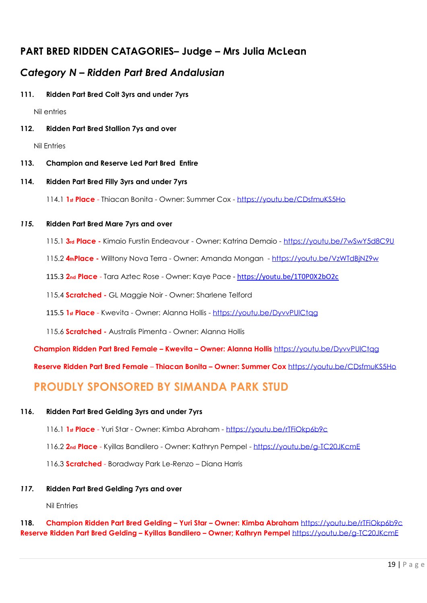## **PART BRED RIDDEN CATAGORIES– Judge – Mrs Julia McLean**

## *Category N – Ridden Part Bred Andalusian*

**111. Ridden Part Bred Colt 3yrs and under 7yrs**

Nil entries

**112. Ridden Part Bred Stallion 7ys and over**

Nil Entries

**113. Champion and Reserve Led Part Bred Entire**

## **114. Ridden Part Bred Filly 3yrs and under 7yrs**

114.1 **1st Place** - Thiacan Bonita - Owner: Summer Cox - <https://youtu.be/CDsfmuKS5Ho>

## *115.* **Ridden Part Bred Mare 7yrs and over**

115.1 **3rd Place -** Kimaio Furstin Endeavour - Owner: Katrina Demaio - <https://youtu.be/7wSwY5d8C9U>

115.2 **4thPlace -** Willtony Nova Terra - Owner: Amanda Mongan - <https://youtu.be/VzWTdBjNZ9w>

115.3 **2nd Place** - Tara Aztec Rose - Owner: Kaye Pace - <https://youtu.be/1T0P0X2bO2c>

115.4 **Scratched -** GL Maggie Noir - Owner: Sharlene Telford

115.5 1<sup>st</sup> Place - Kwevita - Owner: Alanna Hollis - https://youtu.be/DyvvPUlCtag

115.6 **Scratched -** Australis Pimenta - Owner: Alanna Hollis

**Champion Ridden Part Bred Female – Kwevita – Owner: Alanna Hollis** <https://youtu.be/DyvvPUlCtqg>

**Reserve Ridden Part Bred Female** – **Thiacan Bonita – Owner: Summer Cox** <https://youtu.be/CDsfmuKS5Ho>

## **PROUDLY SPONSORED BY SIMANDA PARK STUD**

## **116. Ridden Part Bred Gelding 3yrs and under 7yrs**

- 116.1 **1st Place** Yuri Star Owner: Kimba Abraham <https://youtu.be/rTFiOkp6b9c>
- 116.2 **2nd Place** Kyillas Bandilero Owner: Kathryn Pempel <https://youtu.be/g-TC20JKcmE>

116.3 **Scratched** - Boradway Park Le-Renzo – Diana Harris

## *117.* **Ridden Part Bred Gelding 7yrs and over**

Nil Entries

## **118. Champion Ridden Part Bred Gelding – Yuri Star – Owner: Kimba Abraham** <https://youtu.be/rTFiOkp6b9c> **Reserve Ridden Part Bred Gelding – Kyillas Bandilero – Owner; Kathryn Pempel** <https://youtu.be/g-TC20JKcmE>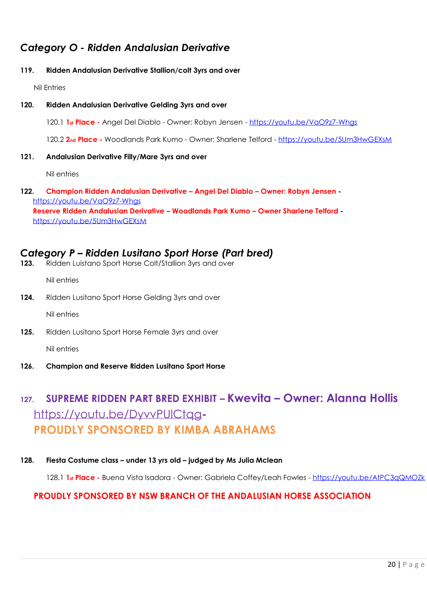## *Category O - Ridden Andalusian Derivative*

## **119. Ridden Andalusian Derivative Stallion/colt 3yrs and over**

Nil Entries

## **120. Ridden Andalusian Derivative Gelding 3yrs and over**

120.1 **1st Place -** Angel Del Diablo - Owner: Robyn Jensen - <https://youtu.be/VaO9z7-Whgs>

120.2 **2nd Place -** Woodlands Park Kumo - Owner: Sharlene Telford - <https://youtu.be/5Um3HwGEXsM>

#### **121. Andalusian Derivative Filly/Mare 3yrs and over**

Nil entries

**122. Champion Ridden Andalusian Derivative – Angel Del Diablo – Owner: Robyn Jensen**  <https://youtu.be/VaO9z7-Whgs> **Reserve Ridden Andalusian Derivative – Woodlands Park Kumo – Owner Sharlene Telford**  <https://youtu.be/5Um3HwGEXsM>

## *Category P – Ridden Lusitano Sport Horse (Part bred)*

**123.** Ridden Luistano Sport Horse Colt/Stallion 3yrs and over

Nil entries

**124.** Ridden Lusitano Sport Horse Gelding 3yrs and over

Nil entries

**125.** Ridden Lusitano Sport Horse Female 3yrs and over

Nil entries

**126. Champion and Reserve Ridden Lusitano Sport Horse**

## **127. SUPREME RIDDEN PART BRED EXHIBIT – Kwevita – Owner: Alanna Hollis**  <https://youtu.be/DyvvPUlCtqg>**-PROUDLY SPONSORED BY KIMBA ABRAHAMS**

**128. Fiesta Costume class – under 13 yrs old – judged by Ms Julia Mclean**

128.1 **1st Place -** Buena Vista Isadora - Owner: Gabriela Coffey/Leah Fowles - <https://youtu.be/AtPC3qQMOZk>

## **PROUDLY SPONSORED BY NSW BRANCH OF THE ANDALUSIAN HORSE ASSOCIATION**